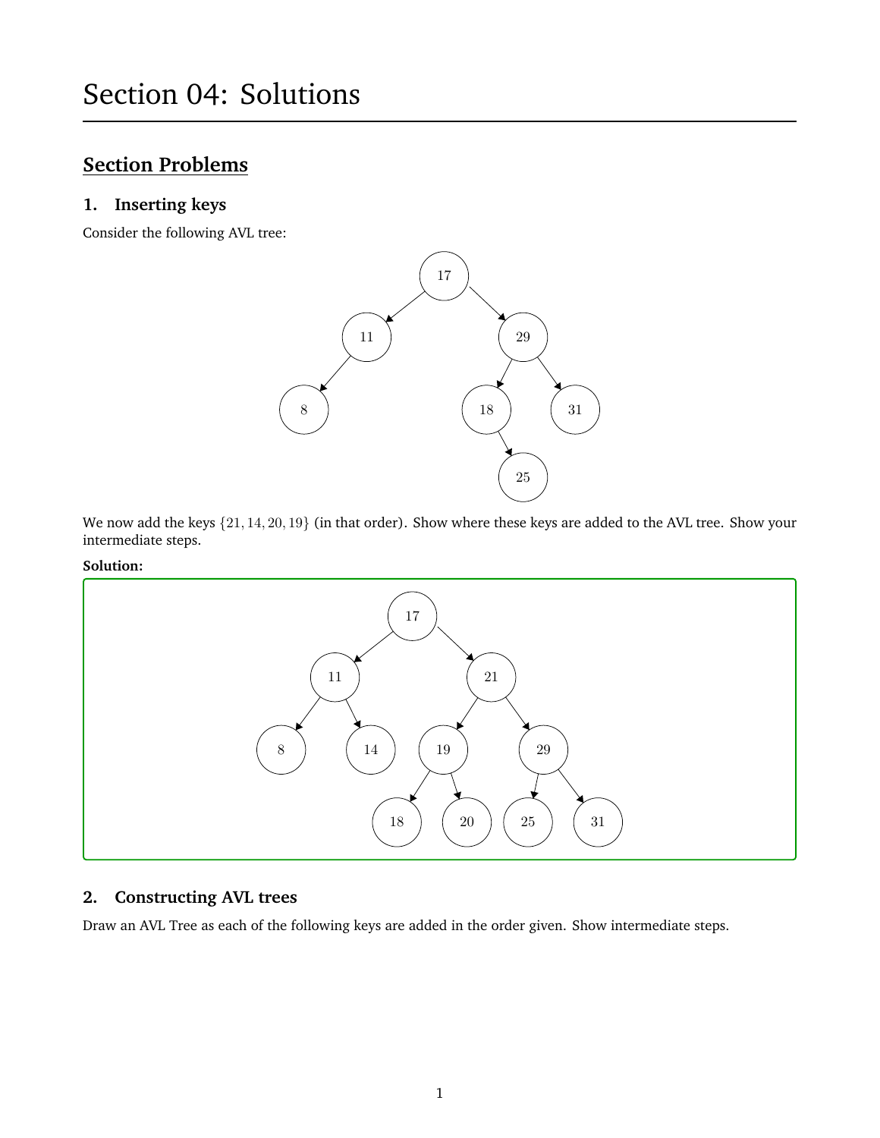# **Section Problems**

## **1. Inserting keys**

Consider the following AVL tree:



We now add the keys  $\{21, 14, 20, 19\}$  (in that order). Show where these keys are added to the AVL tree. Show your intermediate steps.

#### **Solution:**



# **2. Constructing AVL trees**

Draw an AVL Tree as each of the following keys are added in the order given. Show intermediate steps.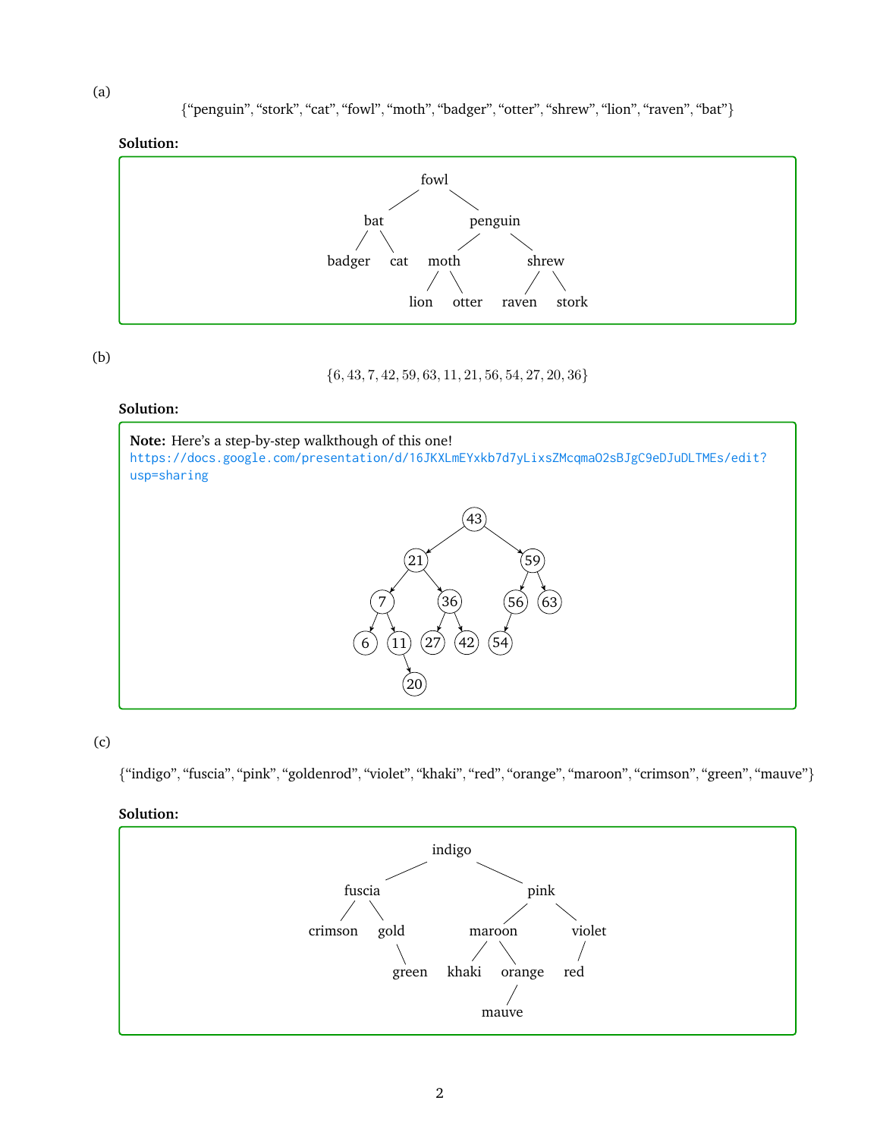**Solution:**



(b)

{6, 43, 7, 42, 59, 63, 11, 21, 56, 54, 27, 20, 36}

## **Solution:**



## (c)

{"indigo", "fuscia", "pink", "goldenrod", "violet", "khaki", "red", "orange", "maroon", "crimson", "green", "mauve"}

## **Solution:**



(a)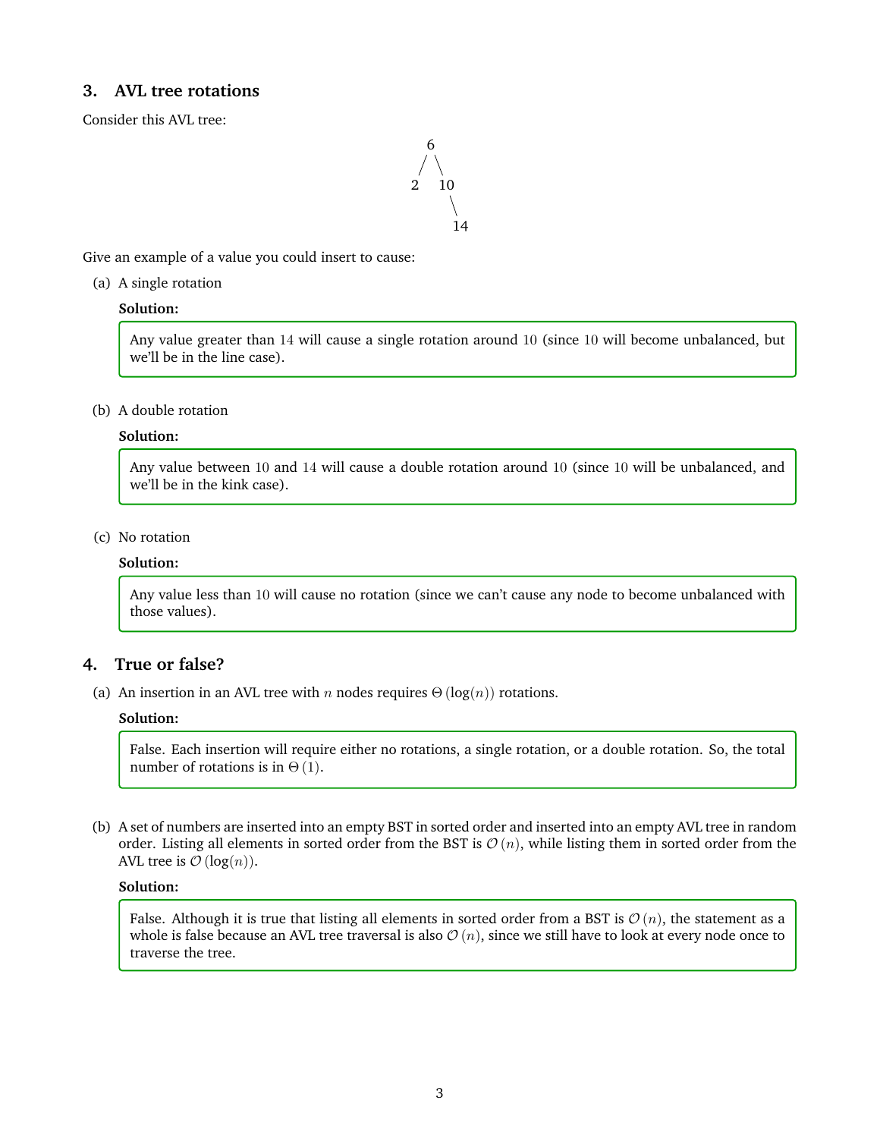## **3. AVL tree rotations**

Consider this AVL tree:

Give an example of a value you could insert to cause:

(a) A single rotation

## **Solution:**

Any value greater than 14 will cause a single rotation around 10 (since 10 will become unbalanced, but we'll be in the line case).

#### (b) A double rotation

#### **Solution:**

Any value between 10 and 14 will cause a double rotation around 10 (since 10 will be unbalanced, and we'll be in the kink case).

## (c) No rotation

### **Solution:**

Any value less than 10 will cause no rotation (since we can't cause any node to become unbalanced with those values).

## **4. True or false?**

(a) An insertion in an AVL tree with n nodes requires  $\Theta(\log(n))$  rotations.

#### **Solution:**

False. Each insertion will require either no rotations, a single rotation, or a double rotation. So, the total number of rotations is in  $\Theta(1)$ .

(b) A set of numbers are inserted into an empty BST in sorted order and inserted into an empty AVL tree in random order. Listing all elements in sorted order from the BST is  $\mathcal{O}(n)$ , while listing them in sorted order from the AVL tree is  $\mathcal{O}(\log(n)).$ 

#### **Solution:**

False. Although it is true that listing all elements in sorted order from a BST is  $\mathcal{O}(n)$ , the statement as a whole is false because an AVL tree traversal is also  $\mathcal{O}(n)$ , since we still have to look at every node once to traverse the tree.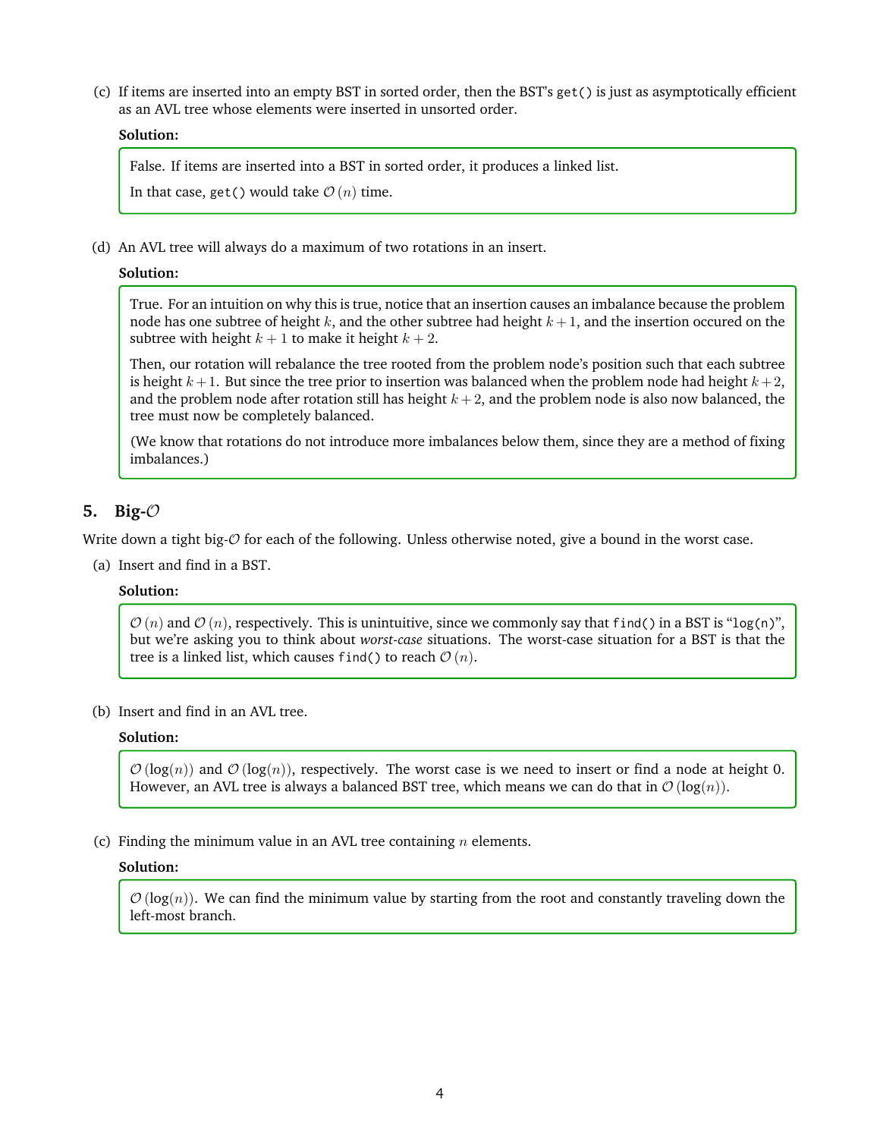(c) If items are inserted into an empty BST in sorted order, then the BST's get() is just as asymptotically efficient as an AVL tree whose elements were inserted in unsorted order.

### **Solution:**

False. If items are inserted into a BST in sorted order, it produces a linked list.

In that case, get() would take  $\mathcal{O}(n)$  time.

(d) An AVL tree will always do a maximum of two rotations in an insert.

#### **Solution:**

True. For an intuition on why this is true, notice that an insertion causes an imbalance because the problem node has one subtree of height k, and the other subtree had height  $k + 1$ , and the insertion occured on the subtree with height  $k + 1$  to make it height  $k + 2$ .

Then, our rotation will rebalance the tree rooted from the problem node's position such that each subtree is height  $k+1$ . But since the tree prior to insertion was balanced when the problem node had height  $k+2$ , and the problem node after rotation still has height  $k + 2$ , and the problem node is also now balanced, the tree must now be completely balanced.

(We know that rotations do not introduce more imbalances below them, since they are a method of fixing imbalances.)

## **5. Big-**O

Write down a tight big- $\mathcal O$  for each of the following. Unless otherwise noted, give a bound in the worst case.

(a) Insert and find in a BST.

#### **Solution:**

 $\mathcal{O}(n)$  and  $\mathcal{O}(n)$ , respectively. This is unintuitive, since we commonly say that find() in a BST is "log(n)", but we're asking you to think about *worst-case* situations. The worst-case situation for a BST is that the tree is a linked list, which causes find() to reach  $\mathcal{O}(n)$ .

(b) Insert and find in an AVL tree.

### **Solution:**

 $\mathcal{O}(\log(n))$  and  $\mathcal{O}(\log(n))$ , respectively. The worst case is we need to insert or find a node at height 0. However, an AVL tree is always a balanced BST tree, which means we can do that in  $\mathcal{O}(\log(n))$ .

(c) Finding the minimum value in an AVL tree containing  $n$  elements.

#### **Solution:**

 $\mathcal{O}(\log(n))$ . We can find the minimum value by starting from the root and constantly traveling down the left-most branch.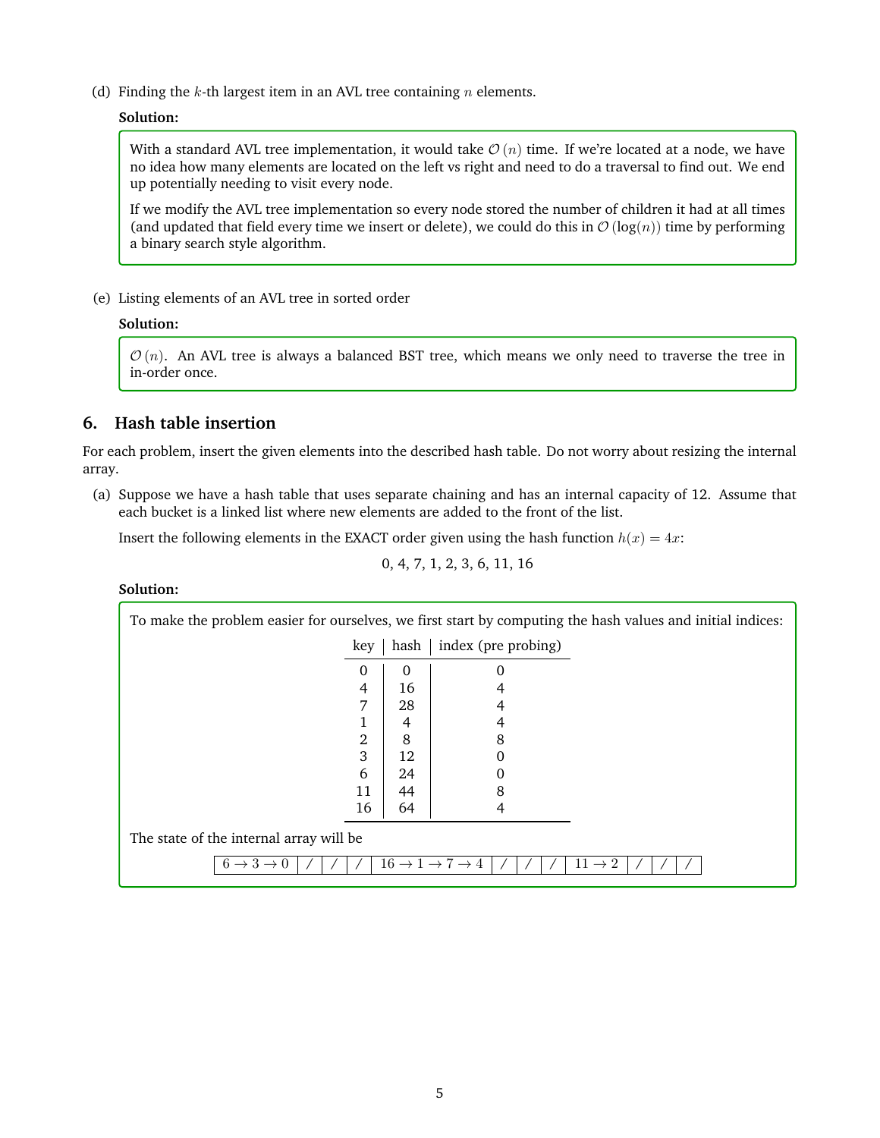(d) Finding the  $k$ -th largest item in an AVL tree containing  $n$  elements.

#### **Solution:**

With a standard AVL tree implementation, it would take  $\mathcal{O}(n)$  time. If we're located at a node, we have no idea how many elements are located on the left vs right and need to do a traversal to find out. We end up potentially needing to visit every node.

If we modify the AVL tree implementation so every node stored the number of children it had at all times (and updated that field every time we insert or delete), we could do this in  $\mathcal{O}(\log(n))$  time by performing a binary search style algorithm.

(e) Listing elements of an AVL tree in sorted order

## **Solution:**

 $\mathcal{O}(n)$ . An AVL tree is always a balanced BST tree, which means we only need to traverse the tree in in-order once.

## **6. Hash table insertion**

For each problem, insert the given elements into the described hash table. Do not worry about resizing the internal array.

(a) Suppose we have a hash table that uses separate chaining and has an internal capacity of 12. Assume that each bucket is a linked list where new elements are added to the front of the list.

Insert the following elements in the EXACT order given using the hash function  $h(x) = 4x$ :

$$
0, 4, 7, 1, 2, 3, 6, 11, 16
$$

**Solution:**

| To make the problem easier for ourselves, we first start by computing the hash values and initial indices: |          |                                                |                    |  |  |  |  |  |  |  |
|------------------------------------------------------------------------------------------------------------|----------|------------------------------------------------|--------------------|--|--|--|--|--|--|--|
| key                                                                                                        | hash     | index (pre probing)                            |                    |  |  |  |  |  |  |  |
| $\Omega$                                                                                                   | $\Omega$ | 0                                              |                    |  |  |  |  |  |  |  |
| 4                                                                                                          | 16       | 4                                              |                    |  |  |  |  |  |  |  |
| 7                                                                                                          | 28       |                                                |                    |  |  |  |  |  |  |  |
|                                                                                                            | 4        | 4                                              |                    |  |  |  |  |  |  |  |
| 2                                                                                                          | 8        | 8                                              |                    |  |  |  |  |  |  |  |
| 3                                                                                                          | 12       | 0                                              |                    |  |  |  |  |  |  |  |
| 6                                                                                                          | 24       | 0                                              |                    |  |  |  |  |  |  |  |
| 11                                                                                                         | 44       | 8                                              |                    |  |  |  |  |  |  |  |
| 16                                                                                                         | 64       | 4                                              |                    |  |  |  |  |  |  |  |
| The state of the internal array will be                                                                    |          |                                                |                    |  |  |  |  |  |  |  |
| $6 \rightarrow 3 \rightarrow 0$                                                                            |          | $16 \rightarrow 1 \rightarrow 7 \rightarrow 4$ | $11 \rightarrow 2$ |  |  |  |  |  |  |  |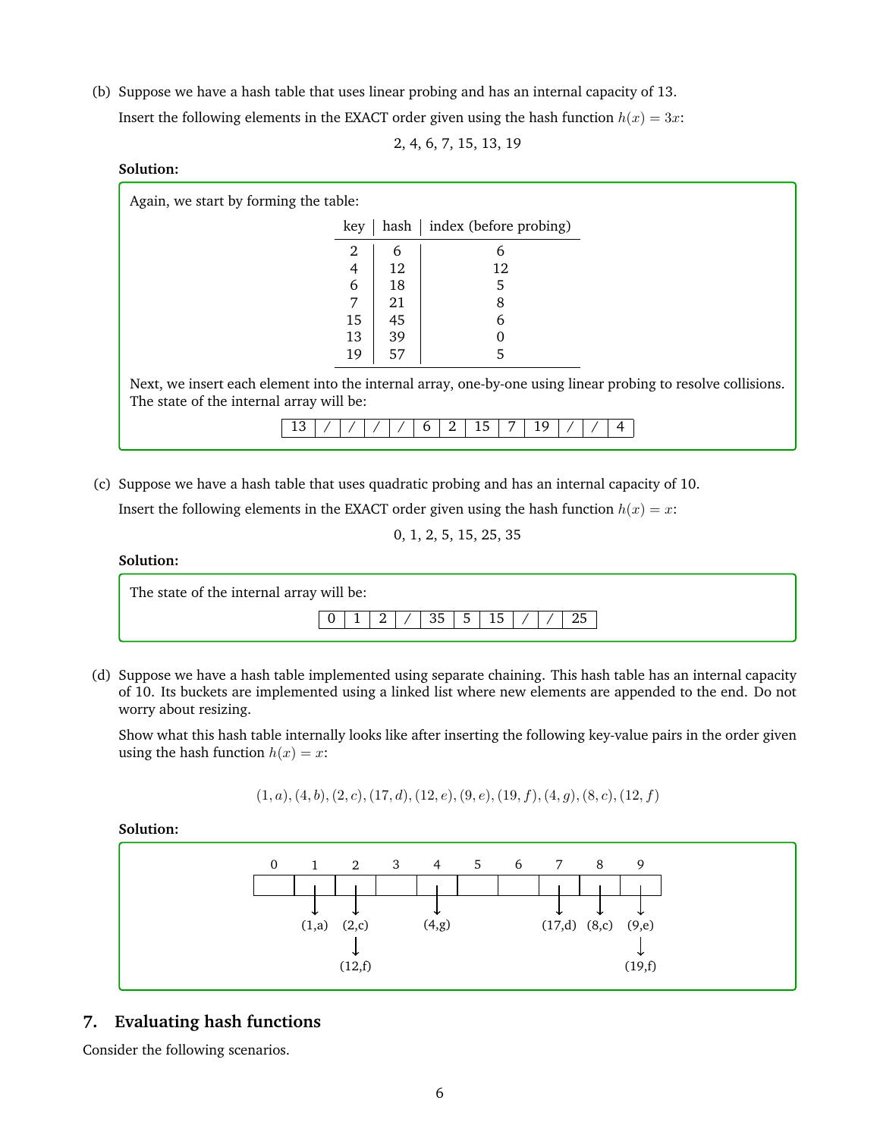(b) Suppose we have a hash table that uses linear probing and has an internal capacity of 13. Insert the following elements in the EXACT order given using the hash function  $h(x) = 3x$ :

2, 4, 6, 7, 15, 13, 19

## **Solution:**

Again, we start by forming the table:

| key            |    | hash   index (before probing) |
|----------------|----|-------------------------------|
| 2              | 6  | 6                             |
| $\overline{4}$ | 12 | 12                            |
| 6              | 18 | 5                             |
|                | 21 | 8                             |
| 15             | 45 | 6                             |
| 13             | 39 | Ω                             |
| 19             | 57 | 5                             |

Next, we insert each element into the internal array, one-by-one using linear probing to resolve collisions. The state of the internal array will be:

|--|

(c) Suppose we have a hash table that uses quadratic probing and has an internal capacity of 10.

Insert the following elements in the EXACT order given using the hash function  $h(x) = x$ :

0, 1, 2, 5, 15, 25, 35

## **Solution:**

| The state of the internal array will be: |  |  |    |      |    |  |    |
|------------------------------------------|--|--|----|------|----|--|----|
|                                          |  |  | 35 | $-5$ | 15 |  | 25 |

(d) Suppose we have a hash table implemented using separate chaining. This hash table has an internal capacity of 10. Its buckets are implemented using a linked list where new elements are appended to the end. Do not worry about resizing.

Show what this hash table internally looks like after inserting the following key-value pairs in the order given using the hash function  $h(x) = x$ :

 $(1, a), (4, b), (2, c), (17, d), (12, e), (9, e), (19, f), (4, g), (8, c), (12, f)$ 

**Solution:**

| $\mathbf{0}$ | 1     |        | $2 \quad 3$ |        | 4 5 | 6 | 7 | 8                        | 9      |
|--------------|-------|--------|-------------|--------|-----|---|---|--------------------------|--------|
|              |       |        |             |        |     |   |   |                          |        |
|              | ◡     | v      |             | ໋      |     |   | ໋ |                          | ໋      |
|              | (1,a) | (2,c)  |             | (4, g) |     |   |   | $(17,d)$ $(8,c)$ $(9,e)$ |        |
|              |       | ◡      |             |        |     |   |   |                          | ໋      |
|              |       | (12,f) |             |        |     |   |   |                          | (19,f) |

## **7. Evaluating hash functions**

Consider the following scenarios.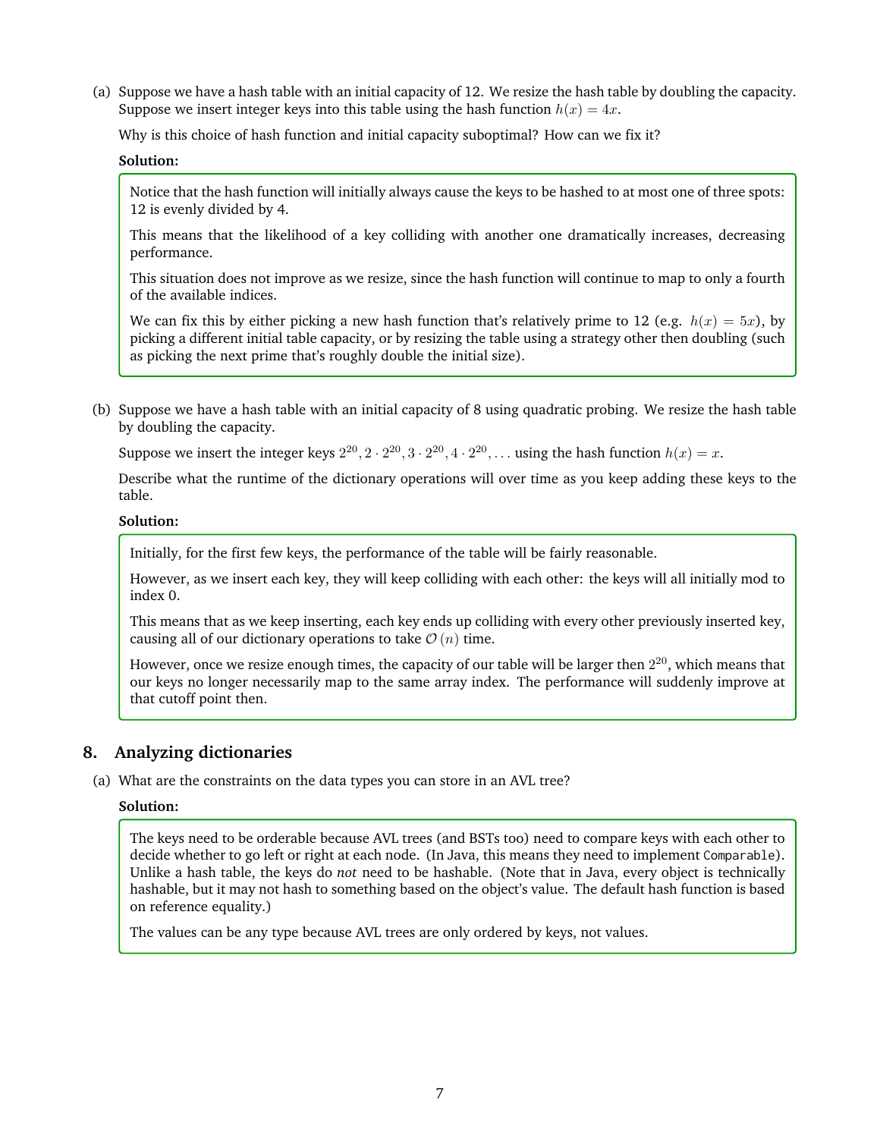(a) Suppose we have a hash table with an initial capacity of 12. We resize the hash table by doubling the capacity. Suppose we insert integer keys into this table using the hash function  $h(x) = 4x$ .

Why is this choice of hash function and initial capacity suboptimal? How can we fix it?

**Solution:**

Notice that the hash function will initially always cause the keys to be hashed to at most one of three spots: 12 is evenly divided by 4.

This means that the likelihood of a key colliding with another one dramatically increases, decreasing performance.

This situation does not improve as we resize, since the hash function will continue to map to only a fourth of the available indices.

We can fix this by either picking a new hash function that's relatively prime to 12 (e.g.  $h(x) = 5x$ ), by picking a different initial table capacity, or by resizing the table using a strategy other then doubling (such as picking the next prime that's roughly double the initial size).

(b) Suppose we have a hash table with an initial capacity of 8 using quadratic probing. We resize the hash table by doubling the capacity.

Suppose we insert the integer keys  $2^{20}$ ,  $2 \cdot 2^{20}$ ,  $3 \cdot 2^{20}$ ,  $4 \cdot 2^{20}$ , ... using the hash function  $h(x) = x$ .

Describe what the runtime of the dictionary operations will over time as you keep adding these keys to the table.

### **Solution:**

Initially, for the first few keys, the performance of the table will be fairly reasonable.

However, as we insert each key, they will keep colliding with each other: the keys will all initially mod to index 0.

This means that as we keep inserting, each key ends up colliding with every other previously inserted key, causing all of our dictionary operations to take  $\mathcal{O}(n)$  time.

However, once we resize enough times, the capacity of our table will be larger then  $2^{20}$ , which means that our keys no longer necessarily map to the same array index. The performance will suddenly improve at that cutoff point then.

## **8. Analyzing dictionaries**

(a) What are the constraints on the data types you can store in an AVL tree?

#### **Solution:**

The keys need to be orderable because AVL trees (and BSTs too) need to compare keys with each other to decide whether to go left or right at each node. (In Java, this means they need to implement Comparable). Unlike a hash table, the keys do *not* need to be hashable. (Note that in Java, every object is technically hashable, but it may not hash to something based on the object's value. The default hash function is based on reference equality.)

The values can be any type because AVL trees are only ordered by keys, not values.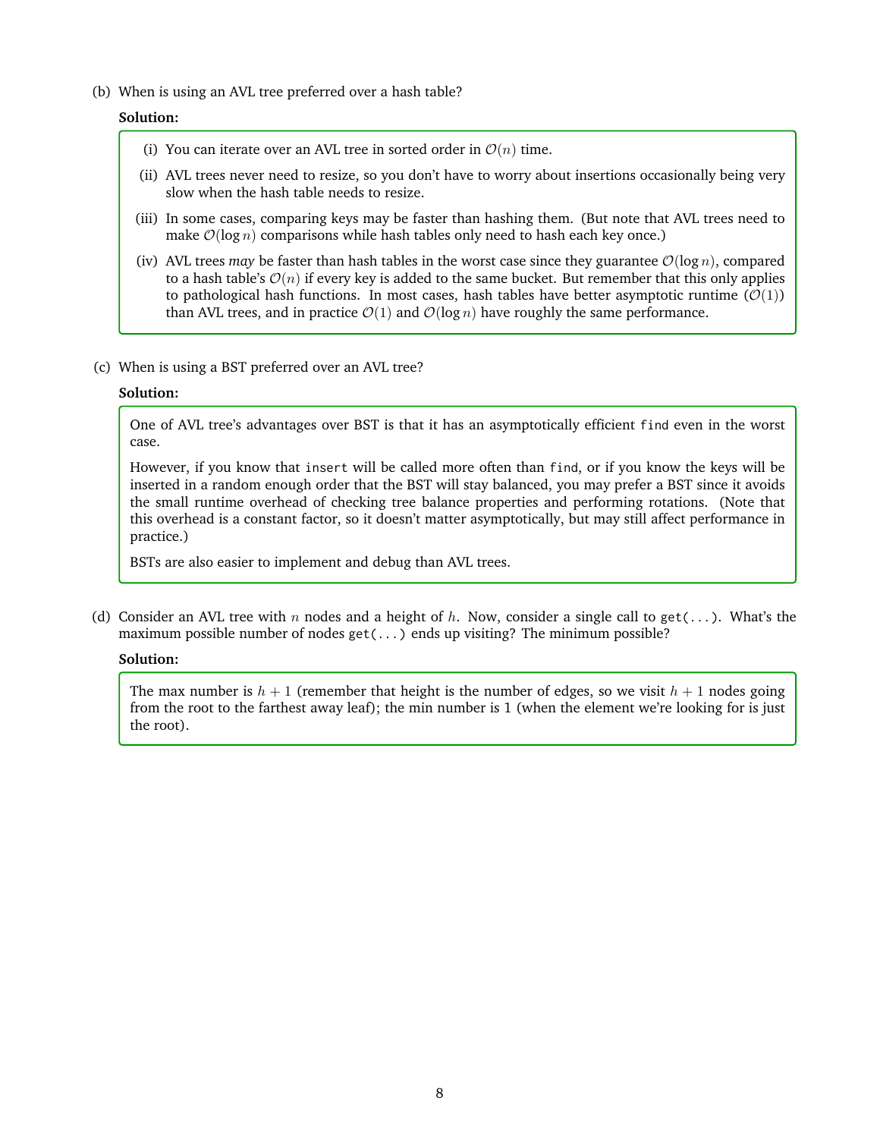(b) When is using an AVL tree preferred over a hash table?

## **Solution:**

- (i) You can iterate over an AVL tree in sorted order in  $\mathcal{O}(n)$  time.
- (ii) AVL trees never need to resize, so you don't have to worry about insertions occasionally being very slow when the hash table needs to resize.
- (iii) In some cases, comparing keys may be faster than hashing them. (But note that AVL trees need to make  $\mathcal{O}(\log n)$  comparisons while hash tables only need to hash each key once.)
- (iv) AVL trees *may* be faster than hash tables in the worst case since they guarantee  $\mathcal{O}(\log n)$ , compared to a hash table's  $\mathcal{O}(n)$  if every key is added to the same bucket. But remember that this only applies to pathological hash functions. In most cases, hash tables have better asymptotic runtime  $(\mathcal{O}(1))$ than AVL trees, and in practice  $\mathcal{O}(1)$  and  $\mathcal{O}(\log n)$  have roughly the same performance.
- (c) When is using a BST preferred over an AVL tree?

### **Solution:**

One of AVL tree's advantages over BST is that it has an asymptotically efficient find even in the worst case.

However, if you know that insert will be called more often than find, or if you know the keys will be inserted in a random enough order that the BST will stay balanced, you may prefer a BST since it avoids the small runtime overhead of checking tree balance properties and performing rotations. (Note that this overhead is a constant factor, so it doesn't matter asymptotically, but may still affect performance in practice.)

BSTs are also easier to implement and debug than AVL trees.

(d) Consider an AVL tree with n nodes and a height of h. Now, consider a single call to get(...). What's the maximum possible number of nodes get(...) ends up visiting? The minimum possible?

## **Solution:**

The max number is  $h + 1$  (remember that height is the number of edges, so we visit  $h + 1$  nodes going from the root to the farthest away leaf); the min number is 1 (when the element we're looking for is just the root).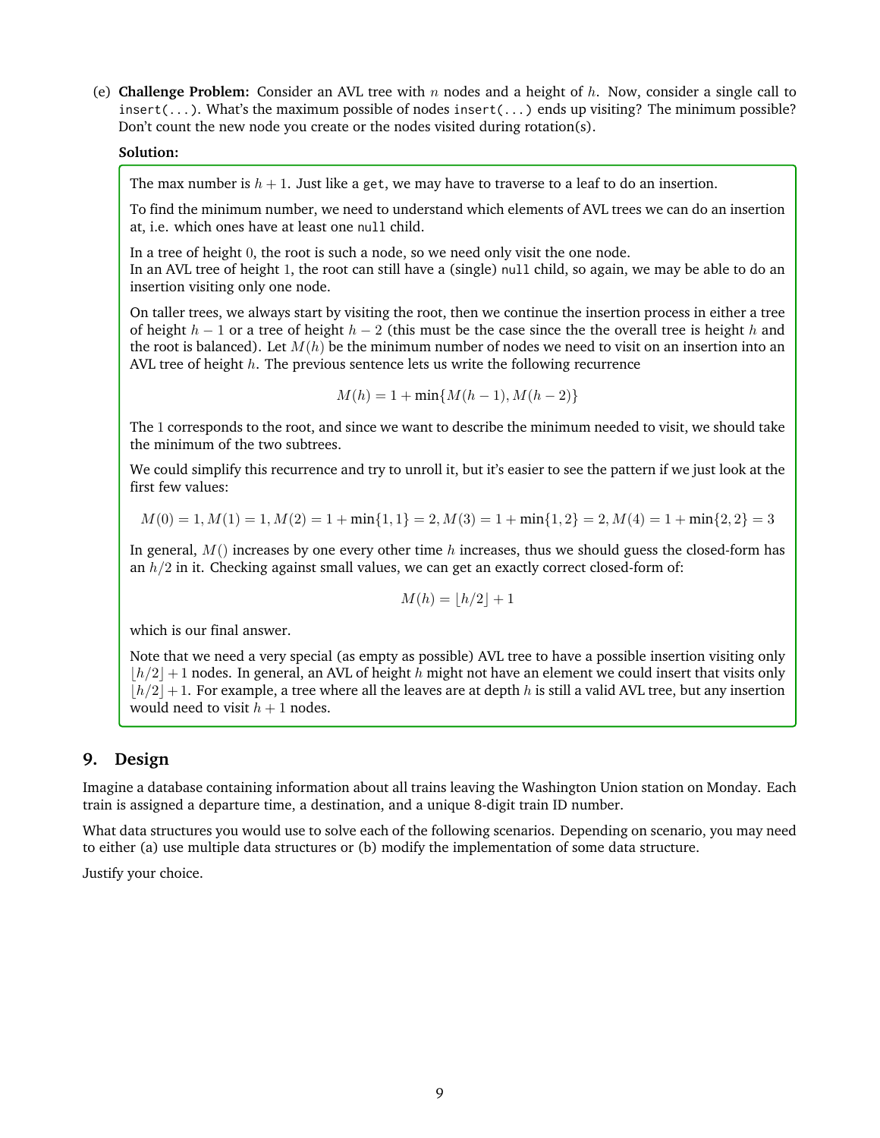(e) **Challenge Problem:** Consider an AVL tree with  $n$  nodes and a height of  $h$ . Now, consider a single call to insert(...). What's the maximum possible of nodes insert(...) ends up visiting? The minimum possible? Don't count the new node you create or the nodes visited during rotation(s).

#### **Solution:**

The max number is  $h + 1$ . Just like a get, we may have to traverse to a leaf to do an insertion.

To find the minimum number, we need to understand which elements of AVL trees we can do an insertion at, i.e. which ones have at least one null child.

In a tree of height 0, the root is such a node, so we need only visit the one node. In an AVL tree of height 1, the root can still have a (single) null child, so again, we may be able to do an insertion visiting only one node.

On taller trees, we always start by visiting the root, then we continue the insertion process in either a tree of height  $h-1$  or a tree of height  $h-2$  (this must be the case since the the overall tree is height h and the root is balanced). Let  $M(h)$  be the minimum number of nodes we need to visit on an insertion into an AVL tree of height  $h$ . The previous sentence lets us write the following recurrence

 $M(h) = 1 + min{M(h-1), M(h-2)}$ 

The 1 corresponds to the root, and since we want to describe the minimum needed to visit, we should take the minimum of the two subtrees.

We could simplify this recurrence and try to unroll it, but it's easier to see the pattern if we just look at the first few values:

$$
M(0) = 1, M(1) = 1, M(2) = 1 + min{1, 1} = 2, M(3) = 1 + min{1, 2} = 2, M(4) = 1 + min{2, 2} = 3
$$

In general,  $M()$  increases by one every other time h increases, thus we should guess the closed-form has an  $h/2$  in it. Checking against small values, we can get an exactly correct closed-form of:

$$
M(h) = |h/2| + 1
$$

which is our final answer.

Note that we need a very special (as empty as possible) AVL tree to have a possible insertion visiting only  $|h/2|+1$  nodes. In general, an AVL of height h might not have an element we could insert that visits only  $|h/2|+1$ . For example, a tree where all the leaves are at depth h is still a valid AVL tree, but any insertion would need to visit  $h + 1$  nodes.

## **9. Design**

Imagine a database containing information about all trains leaving the Washington Union station on Monday. Each train is assigned a departure time, a destination, and a unique 8-digit train ID number.

What data structures you would use to solve each of the following scenarios. Depending on scenario, you may need to either (a) use multiple data structures or (b) modify the implementation of some data structure.

Justify your choice.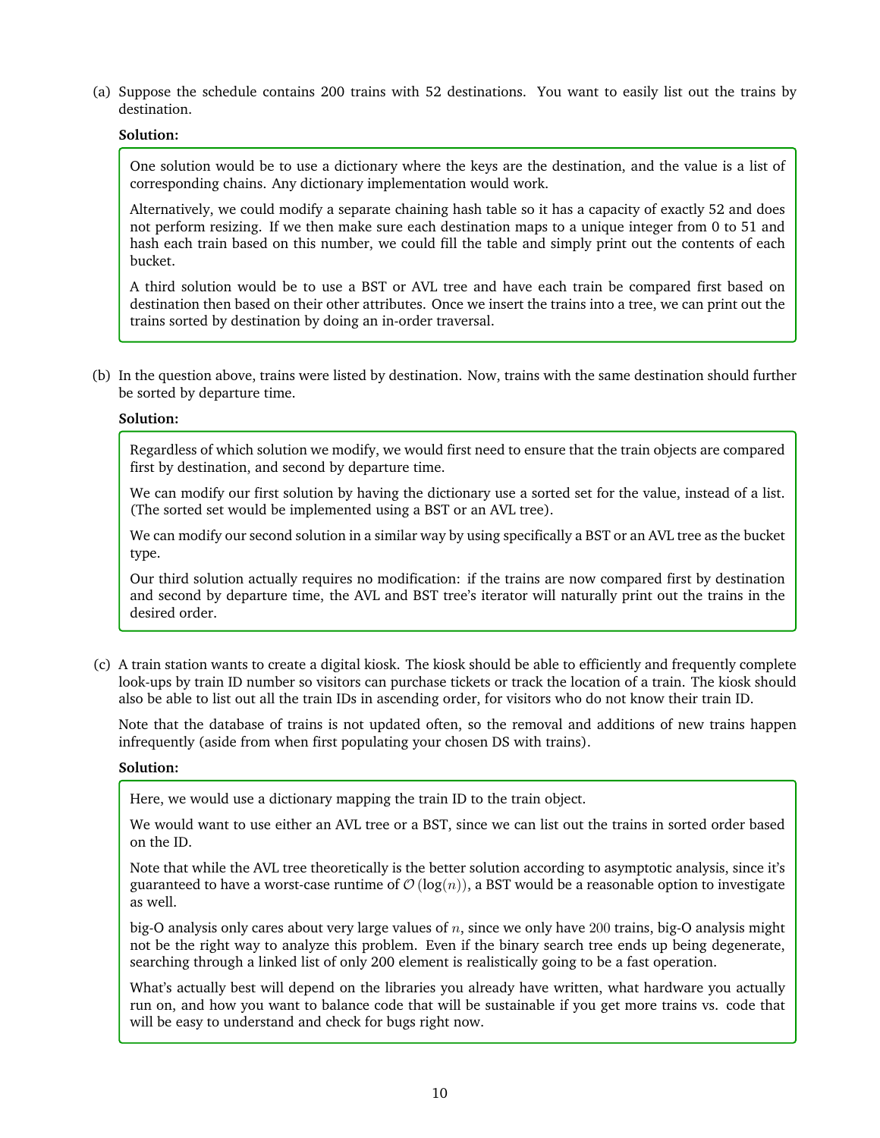(a) Suppose the schedule contains 200 trains with 52 destinations. You want to easily list out the trains by destination.

## **Solution:**

One solution would be to use a dictionary where the keys are the destination, and the value is a list of corresponding chains. Any dictionary implementation would work.

Alternatively, we could modify a separate chaining hash table so it has a capacity of exactly 52 and does not perform resizing. If we then make sure each destination maps to a unique integer from 0 to 51 and hash each train based on this number, we could fill the table and simply print out the contents of each bucket.

A third solution would be to use a BST or AVL tree and have each train be compared first based on destination then based on their other attributes. Once we insert the trains into a tree, we can print out the trains sorted by destination by doing an in-order traversal.

(b) In the question above, trains were listed by destination. Now, trains with the same destination should further be sorted by departure time.

## **Solution:**

Regardless of which solution we modify, we would first need to ensure that the train objects are compared first by destination, and second by departure time.

We can modify our first solution by having the dictionary use a sorted set for the value, instead of a list. (The sorted set would be implemented using a BST or an AVL tree).

We can modify our second solution in a similar way by using specifically a BST or an AVL tree as the bucket type.

Our third solution actually requires no modification: if the trains are now compared first by destination and second by departure time, the AVL and BST tree's iterator will naturally print out the trains in the desired order.

(c) A train station wants to create a digital kiosk. The kiosk should be able to efficiently and frequently complete look-ups by train ID number so visitors can purchase tickets or track the location of a train. The kiosk should also be able to list out all the train IDs in ascending order, for visitors who do not know their train ID.

Note that the database of trains is not updated often, so the removal and additions of new trains happen infrequently (aside from when first populating your chosen DS with trains).

#### **Solution:**

Here, we would use a dictionary mapping the train ID to the train object.

We would want to use either an AVL tree or a BST, since we can list out the trains in sorted order based on the ID.

Note that while the AVL tree theoretically is the better solution according to asymptotic analysis, since it's guaranteed to have a worst-case runtime of  $\mathcal{O}(\log(n))$ , a BST would be a reasonable option to investigate as well.

big-O analysis only cares about very large values of  $n$ , since we only have 200 trains, big-O analysis might not be the right way to analyze this problem. Even if the binary search tree ends up being degenerate, searching through a linked list of only 200 element is realistically going to be a fast operation.

What's actually best will depend on the libraries you already have written, what hardware you actually run on, and how you want to balance code that will be sustainable if you get more trains vs. code that will be easy to understand and check for bugs right now.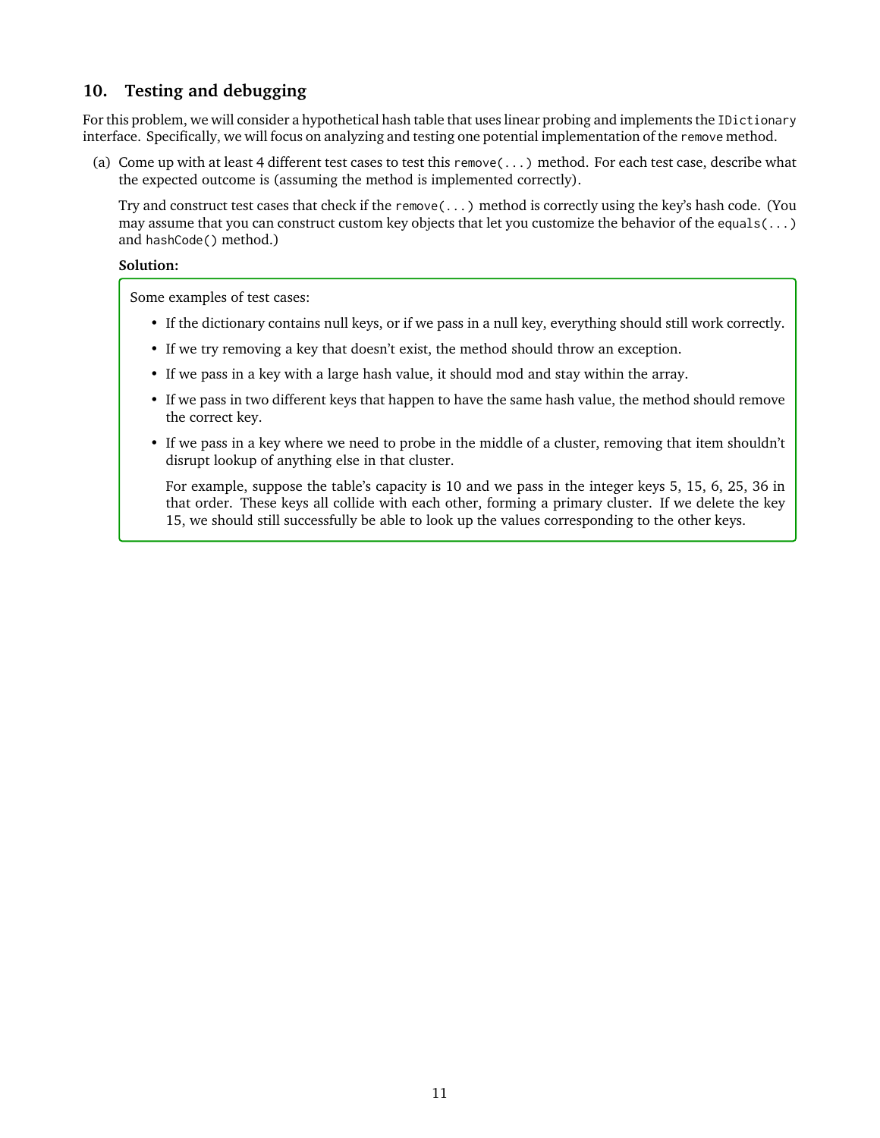# **10. Testing and debugging**

For this problem, we will consider a hypothetical hash table that uses linear probing and implements the IDictionary interface. Specifically, we will focus on analyzing and testing one potential implementation of the remove method.

(a) Come up with at least 4 different test cases to test this remove(...) method. For each test case, describe what the expected outcome is (assuming the method is implemented correctly).

Try and construct test cases that check if the remove(...) method is correctly using the key's hash code. (You may assume that you can construct custom key objects that let you customize the behavior of the equals(...) and hashCode() method.)

#### **Solution:**

Some examples of test cases:

- If the dictionary contains null keys, or if we pass in a null key, everything should still work correctly.
- If we try removing a key that doesn't exist, the method should throw an exception.
- If we pass in a key with a large hash value, it should mod and stay within the array.
- If we pass in two different keys that happen to have the same hash value, the method should remove the correct key.
- If we pass in a key where we need to probe in the middle of a cluster, removing that item shouldn't disrupt lookup of anything else in that cluster.

For example, suppose the table's capacity is 10 and we pass in the integer keys 5, 15, 6, 25, 36 in that order. These keys all collide with each other, forming a primary cluster. If we delete the key 15, we should still successfully be able to look up the values corresponding to the other keys.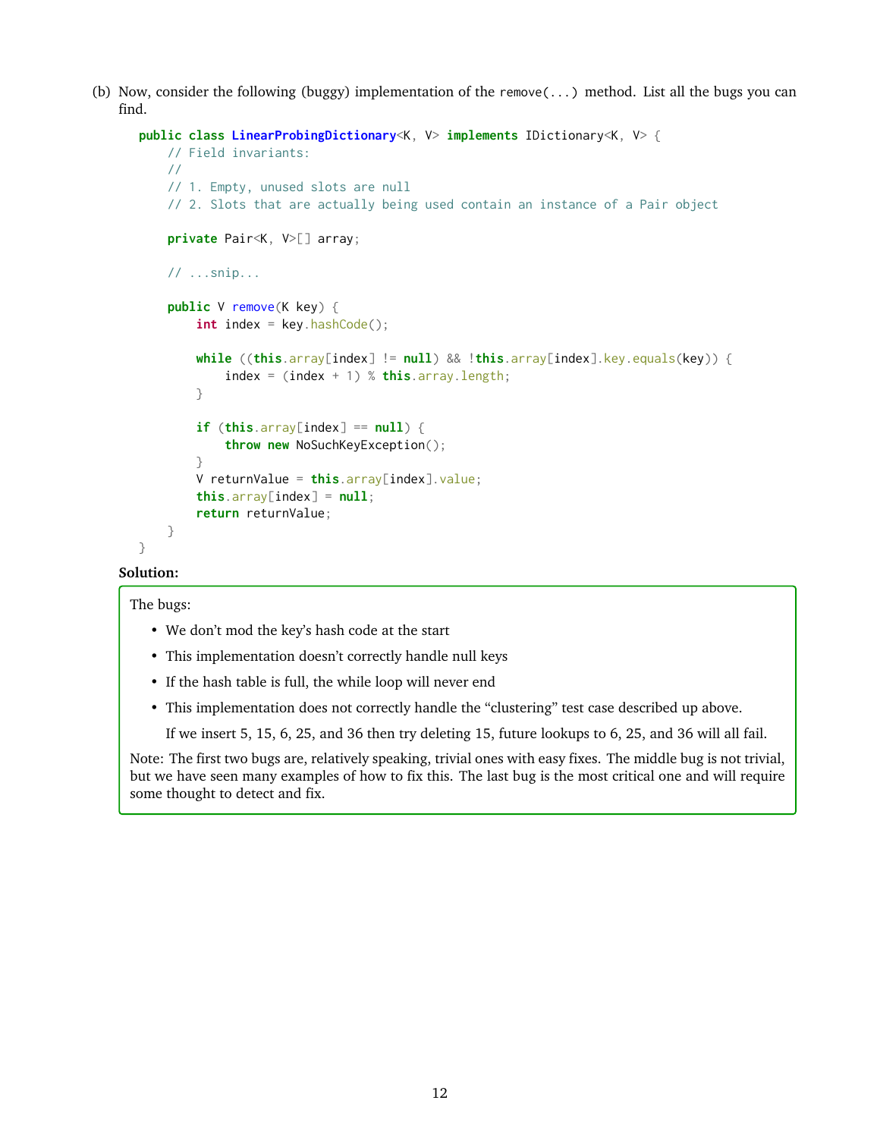(b) Now, consider the following (buggy) implementation of the remove(...) method. List all the bugs you can find.

```
public class LinearProbingDictionary<K, V> implements IDictionary<K, V> {
   // Field invariants:
   //
   // 1. Empty, unused slots are null
    // 2. Slots that are actually being used contain an instance of a Pair object
    private Pair<K, V>[] array;
   // ...snip...
    public V remove(K key) {
        int index = key.hashCode();
        while ((this.array[index] != null) && !this.array[index].key.equals(key)) {
            index = (index + 1) % this.array.length;
        }
        if (this.array[index] == null {
            throw new NoSuchKeyException();
        }
        V returnValue = this.array[index].value;
        this.array[index] = null;return returnValue;
   }
}
```
## **Solution:**

The bugs:

- We don't mod the key's hash code at the start
- This implementation doesn't correctly handle null keys
- If the hash table is full, the while loop will never end
- This implementation does not correctly handle the "clustering" test case described up above.

If we insert 5, 15, 6, 25, and 36 then try deleting 15, future lookups to 6, 25, and 36 will all fail.

Note: The first two bugs are, relatively speaking, trivial ones with easy fixes. The middle bug is not trivial, but we have seen many examples of how to fix this. The last bug is the most critical one and will require some thought to detect and fix.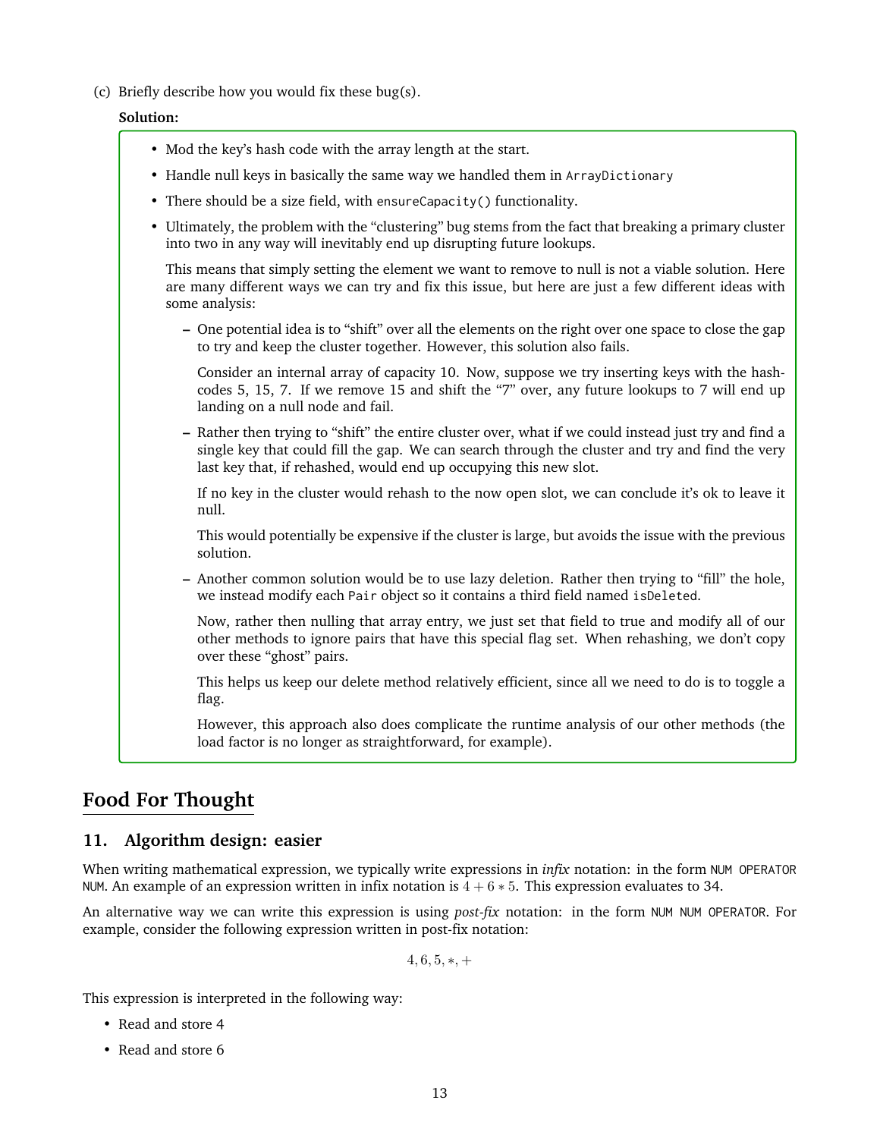(c) Briefly describe how you would fix these bug(s).

### **Solution:**

- Mod the key's hash code with the array length at the start.
- Handle null keys in basically the same way we handled them in ArrayDictionary
- There should be a size field, with ensureCapacity() functionality.
- Ultimately, the problem with the "clustering" bug stems from the fact that breaking a primary cluster into two in any way will inevitably end up disrupting future lookups.

This means that simply setting the element we want to remove to null is not a viable solution. Here are many different ways we can try and fix this issue, but here are just a few different ideas with some analysis:

**–** One potential idea is to "shift" over all the elements on the right over one space to close the gap to try and keep the cluster together. However, this solution also fails.

Consider an internal array of capacity 10. Now, suppose we try inserting keys with the hashcodes 5, 15, 7. If we remove 15 and shift the "7" over, any future lookups to 7 will end up landing on a null node and fail.

**–** Rather then trying to "shift" the entire cluster over, what if we could instead just try and find a single key that could fill the gap. We can search through the cluster and try and find the very last key that, if rehashed, would end up occupying this new slot.

If no key in the cluster would rehash to the now open slot, we can conclude it's ok to leave it null.

This would potentially be expensive if the cluster is large, but avoids the issue with the previous solution.

**–** Another common solution would be to use lazy deletion. Rather then trying to "fill" the hole, we instead modify each Pair object so it contains a third field named isDeleted.

Now, rather then nulling that array entry, we just set that field to true and modify all of our other methods to ignore pairs that have this special flag set. When rehashing, we don't copy over these "ghost" pairs.

This helps us keep our delete method relatively efficient, since all we need to do is to toggle a flag.

However, this approach also does complicate the runtime analysis of our other methods (the load factor is no longer as straightforward, for example).

# **Food For Thought**

## **11. Algorithm design: easier**

When writing mathematical expression, we typically write expressions in *infix* notation: in the form NUM OPERATOR NUM. An example of an expression written in infix notation is  $4 + 6 * 5$ . This expression evaluates to 34.

An alternative way we can write this expression is using *post-fix* notation: in the form NUM NUM OPERATOR. For example, consider the following expression written in post-fix notation:

 $4, 6, 5, *$ , +

This expression is interpreted in the following way:

- Read and store 4
- Read and store 6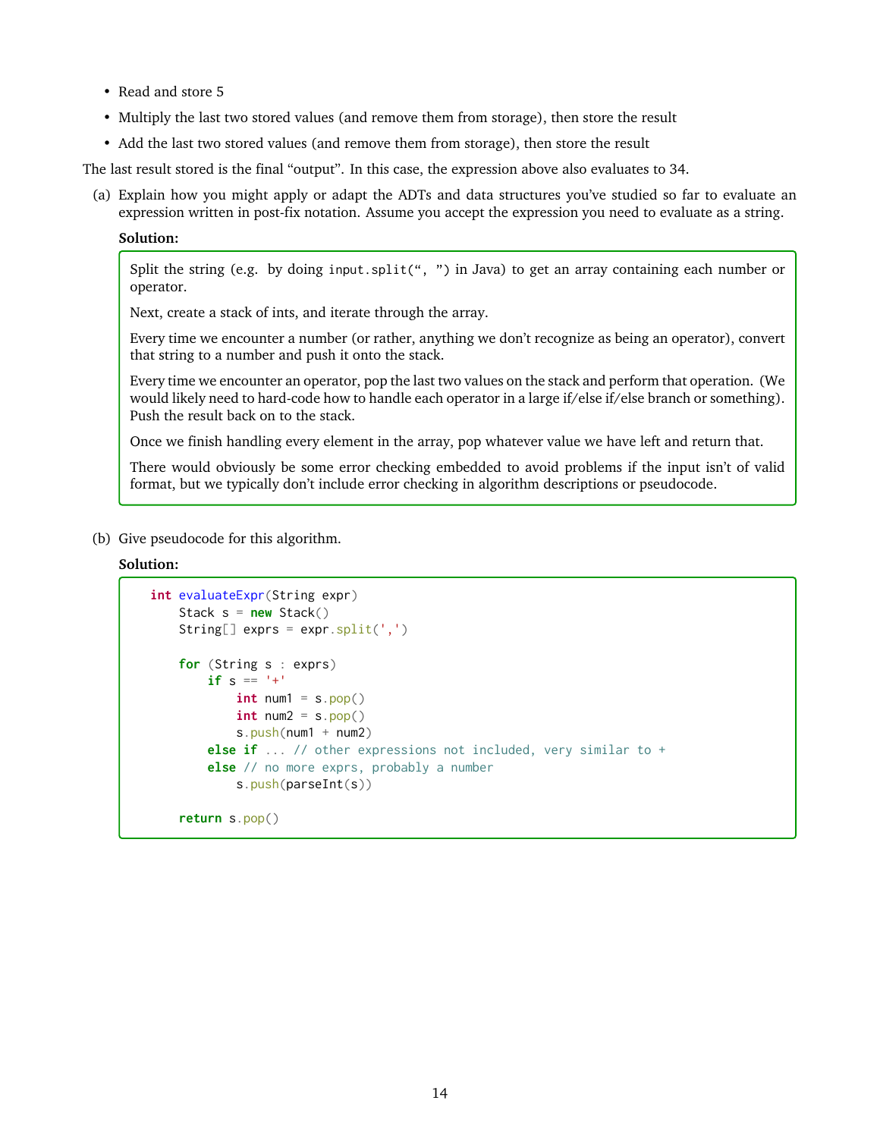- Read and store 5
- Multiply the last two stored values (and remove them from storage), then store the result
- Add the last two stored values (and remove them from storage), then store the result

The last result stored is the final "output". In this case, the expression above also evaluates to 34.

(a) Explain how you might apply or adapt the ADTs and data structures you've studied so far to evaluate an expression written in post-fix notation. Assume you accept the expression you need to evaluate as a string.

#### **Solution:**

Split the string (e.g. by doing input.split(", ") in Java) to get an array containing each number or operator.

Next, create a stack of ints, and iterate through the array.

Every time we encounter a number (or rather, anything we don't recognize as being an operator), convert that string to a number and push it onto the stack.

Every time we encounter an operator, pop the last two values on the stack and perform that operation. (We would likely need to hard-code how to handle each operator in a large if/else if/else branch or something). Push the result back on to the stack.

Once we finish handling every element in the array, pop whatever value we have left and return that.

There would obviously be some error checking embedded to avoid problems if the input isn't of valid format, but we typically don't include error checking in algorithm descriptions or pseudocode.

(b) Give pseudocode for this algorithm.

#### **Solution:**

```
int evaluateExpr(String expr)
    Stack s = new Stack()
    String[] exprs = expr. split(',')for (String s : exprs)
       if s = '+'int num1 = s.pop()int num2 = s.pop()s.push(num1 + num2)else if ... // other expressions not included, very similar to +
       else // no more exprs, probably a number
           s.push(parseInt(s))
    return s.pop()
```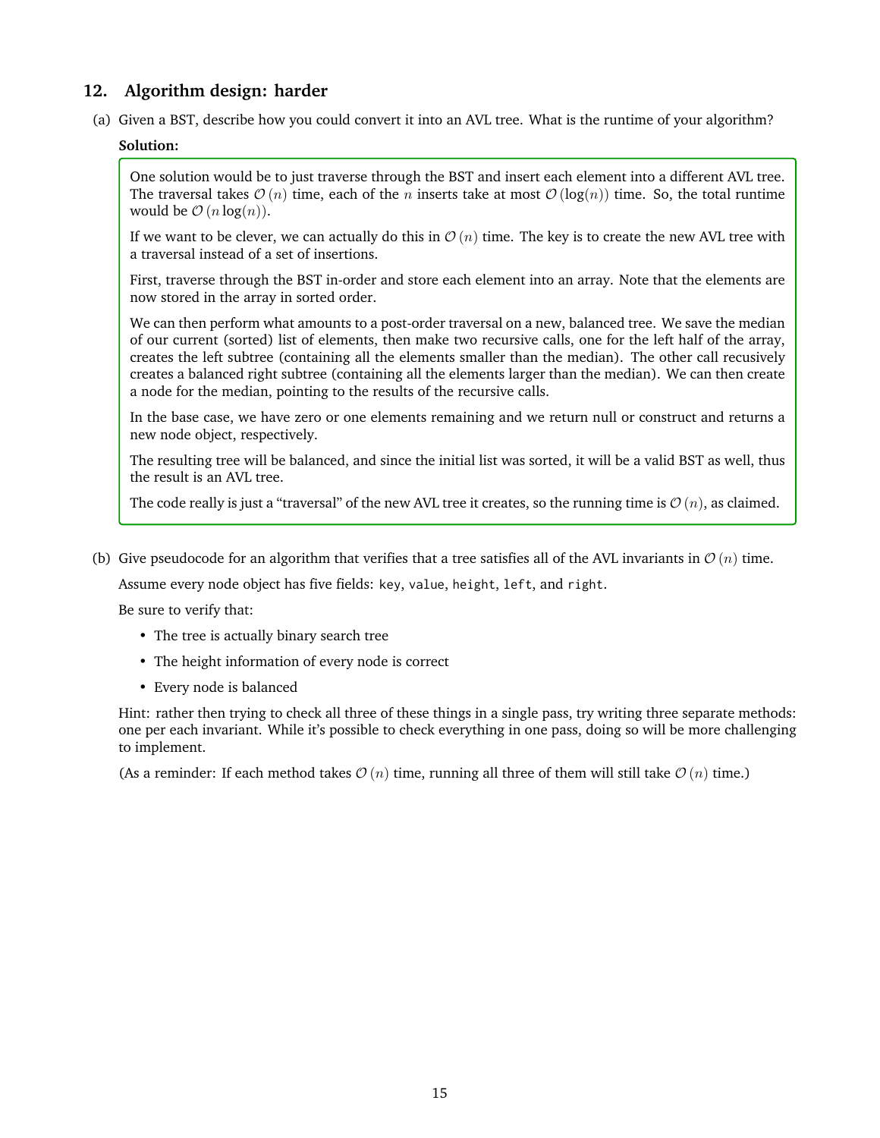# **12. Algorithm design: harder**

(a) Given a BST, describe how you could convert it into an AVL tree. What is the runtime of your algorithm?

## **Solution:**

One solution would be to just traverse through the BST and insert each element into a different AVL tree. The traversal takes  $\mathcal{O}(n)$  time, each of the n inserts take at most  $\mathcal{O}(\log(n))$  time. So, the total runtime would be  $\mathcal{O}(n \log(n))$ .

If we want to be clever, we can actually do this in  $\mathcal{O}(n)$  time. The key is to create the new AVL tree with a traversal instead of a set of insertions.

First, traverse through the BST in-order and store each element into an array. Note that the elements are now stored in the array in sorted order.

We can then perform what amounts to a post-order traversal on a new, balanced tree. We save the median of our current (sorted) list of elements, then make two recursive calls, one for the left half of the array, creates the left subtree (containing all the elements smaller than the median). The other call recusively creates a balanced right subtree (containing all the elements larger than the median). We can then create a node for the median, pointing to the results of the recursive calls.

In the base case, we have zero or one elements remaining and we return null or construct and returns a new node object, respectively.

The resulting tree will be balanced, and since the initial list was sorted, it will be a valid BST as well, thus the result is an AVL tree.

The code really is just a "traversal" of the new AVL tree it creates, so the running time is  $\mathcal{O}(n)$ , as claimed.

(b) Give pseudocode for an algorithm that verifies that a tree satisfies all of the AVL invariants in  $\mathcal{O}(n)$  time.

Assume every node object has five fields: key, value, height, left, and right.

Be sure to verify that:

- The tree is actually binary search tree
- The height information of every node is correct
- Every node is balanced

Hint: rather then trying to check all three of these things in a single pass, try writing three separate methods: one per each invariant. While it's possible to check everything in one pass, doing so will be more challenging to implement.

(As a reminder: If each method takes  $\mathcal{O}(n)$  time, running all three of them will still take  $\mathcal{O}(n)$  time.)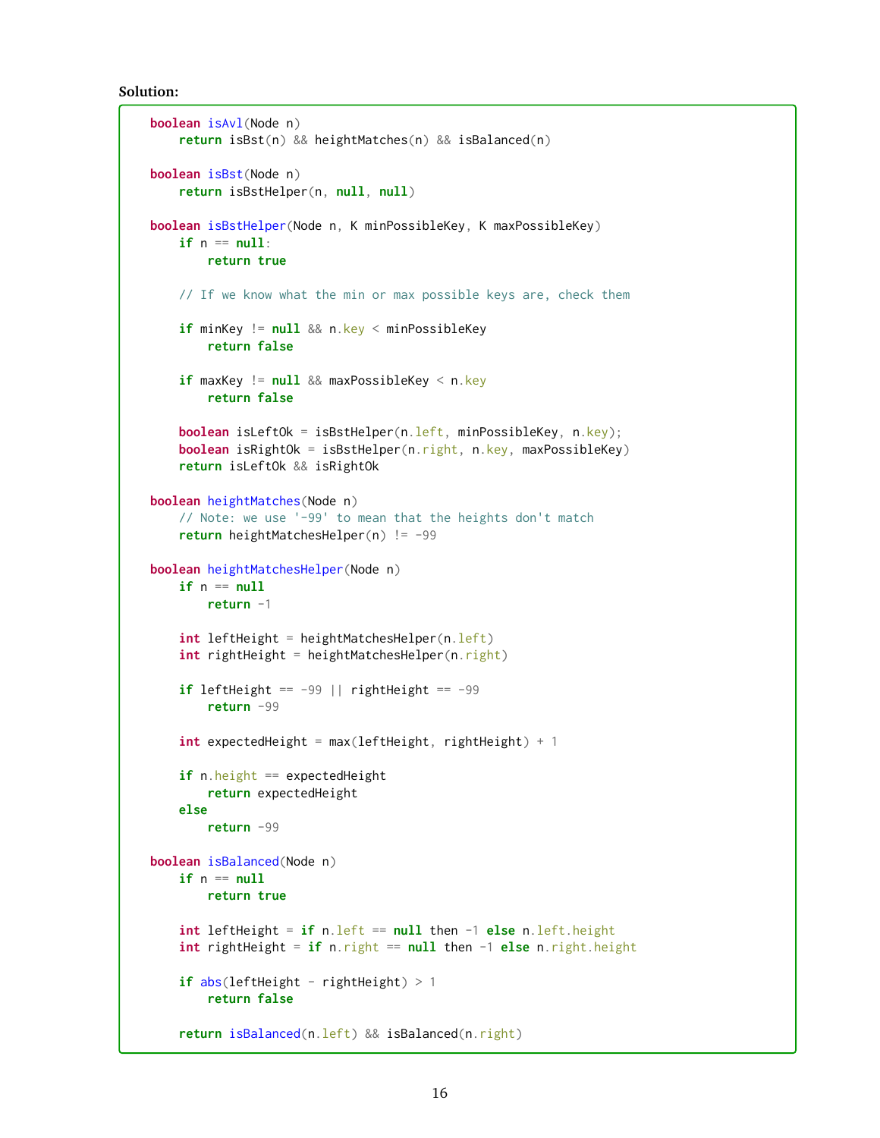**Solution:**

```
boolean isAvl(Node n)
   return isBst(n) && heightMatches(n) && isBalanced(n)
boolean isBst(Node n)
   return isBstHelper(n, null, null)
boolean isBstHelper(Node n, K minPossibleKey, K maxPossibleKey)
   if n == null:
       return true
   // If we know what the min or max possible keys are, check them
   if minKey != null && n.key < minPossibleKey
        return false
   if maxKey != null && maxPossibleKey < n.key
        return false
   boolean isLeftOk = isBstHelper(n.left, minPossibleKey, n.key);
   boolean isRightOk = isBstHelper(n.right, n.key, maxPossibleKey)
    return isLeftOk && isRightOk
boolean heightMatches(Node n)
    // Note: we use '-99' to mean that the heights don't match
   return heightMatchesHelper(n) != -99
boolean heightMatchesHelper(Node n)
   if n == nullreturn -1
   int leftHeight = heightMatchesHelper(n.left)
   int rightHeight = heightMatchesHelper(n.right)
   if leftHeight == -99 || rightHeight == -99return -99
   int expectedHeight = max(leftHeight, rightHeight) + 1
   if n.height == expectedHeight
        return expectedHeight
   else
        return -99
boolean isBalanced(Node n)
   if n == nullreturn true
   int leftHeight = if n.left == null then -1 else n.left.height
   int rightHeight = if n.right == null then -1 else n.right.height
   if abs(leftHeight - rightHeight) > 1return false
   return isBalanced(n.left) && isBalanced(n.right)
```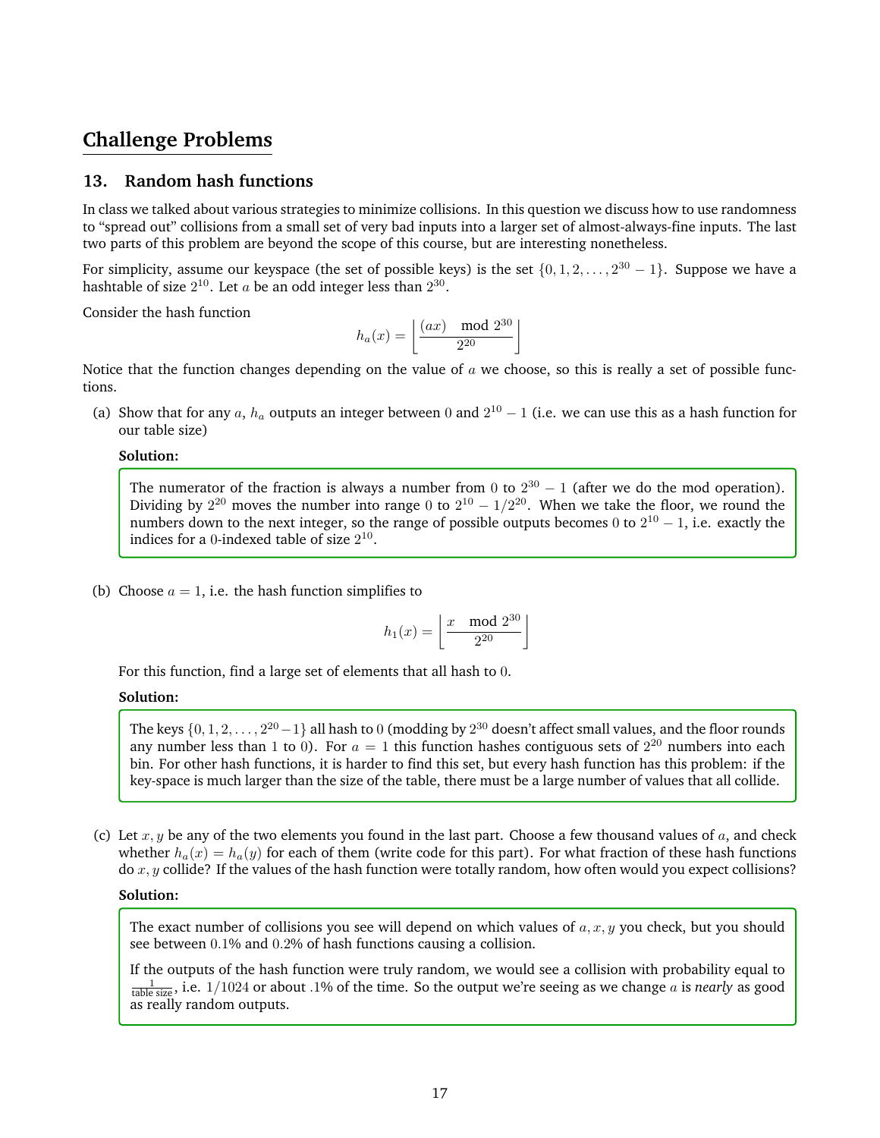# **Challenge Problems**

## **13. Random hash functions**

In class we talked about various strategies to minimize collisions. In this question we discuss how to use randomness to "spread out" collisions from a small set of very bad inputs into a larger set of almost-always-fine inputs. The last two parts of this problem are beyond the scope of this course, but are interesting nonetheless.

For simplicity, assume our keyspace (the set of possible keys) is the set  $\{0, 1, 2, \ldots, 2^{30} - 1\}$ . Suppose we have a hashtable of size  $2^{10}$ . Let  $a$  be an odd integer less than  $2^{30}$ .

Consider the hash function

$$
h_a(x) = \left\lfloor \frac{(ax) \mod 2^{30}}{2^{20}} \right\rfloor
$$

Notice that the function changes depending on the value of  $a$  we choose, so this is really a set of possible functions.

(a) Show that for any a,  $h_a$  outputs an integer between 0 and  $2^{10} - 1$  (i.e. we can use this as a hash function for our table size)

#### **Solution:**

The numerator of the fraction is always a number from 0 to  $2^{30} - 1$  (after we do the mod operation). Dividing by  $2^{20}$  moves the number into range 0 to  $2^{10} - 1/2^{20}$ . When we take the floor, we round the numbers down to the next integer, so the range of possible outputs becomes 0 to  $2^{10} - 1$ , i.e. exactly the indices for a 0-indexed table of size  $2^{10}$ .

(b) Choose  $a = 1$ , i.e. the hash function simplifies to

$$
h_1(x) = \left\lfloor \frac{x \mod 2^{30}}{2^{20}} \right\rfloor
$$

For this function, find a large set of elements that all hash to 0.

#### **Solution:**

The keys  $\{0,1,2,\ldots,2^{20}-1\}$  all hash to  $0$  (modding by  $2^{30}$  doesn't affect small values, and the floor rounds any number less than 1 to 0). For  $a = 1$  this function hashes contiguous sets of  $2^{20}$  numbers into each bin. For other hash functions, it is harder to find this set, but every hash function has this problem: if the key-space is much larger than the size of the table, there must be a large number of values that all collide.

(c) Let  $x, y$  be any of the two elements you found in the last part. Choose a few thousand values of  $a$ , and check whether  $h_a(x) = h_a(y)$  for each of them (write code for this part). For what fraction of these hash functions do  $x, y$  collide? If the values of the hash function were totally random, how often would you expect collisions?

#### **Solution:**

The exact number of collisions you see will depend on which values of  $a, x, y$  you check, but you should see between 0.1% and 0.2% of hash functions causing a collision.

If the outputs of the hash function were truly random, we would see a collision with probability equal to  $\frac{1}{\text{table size}}$ , i.e. 1/1024 or about .1% of the time. So the output we're seeing as we change a is *nearly* as good as really random outputs.